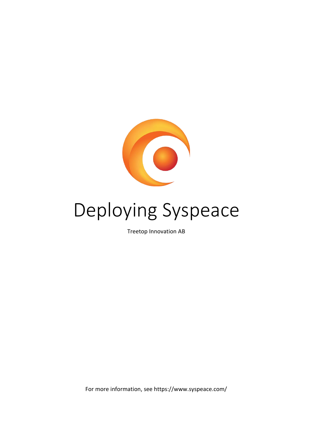

# Deploying Syspeace

Treetop Innovation AB

For more information, see https://www.syspeace.com/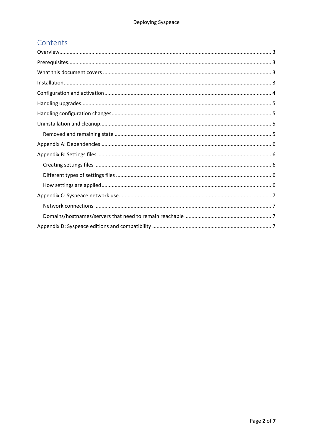# Contents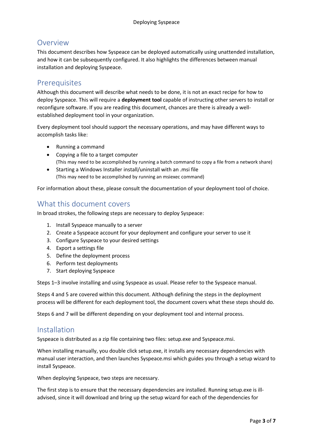## <span id="page-2-0"></span>Overview

This document describes how Syspeace can be deployed automatically using unattended installation, and how it can be subsequently configured. It also highlights the differences between manual installation and deploying Syspeace.

## <span id="page-2-1"></span>**Prerequisites**

Although this document will describe what needs to be done, it is not an exact recipe for how to deploy Syspeace. This will require a **deployment tool** capable of instructing other servers to install or reconfigure software. If you are reading this document, chances are there is already a wellestablished deployment tool in your organization.

Every deployment tool should support the necessary operations, and may have different ways to accomplish tasks like:

- Running a command
- Copying a file to a target computer (This may need to be accomplished by running a batch command to copy a file from a network share)
- Starting a Windows Installer install/uninstall with an .msi file (This may need to be accomplished by running an msiexec command)

For information about these, please consult the documentation of your deployment tool of choice.

## <span id="page-2-2"></span>What this document covers

In broad strokes, the following steps are necessary to deploy Syspeace:

- 1. Install Syspeace manually to a server
- 2. Create a Syspeace account for your deployment and configure your server to use it
- 3. Configure Syspeace to your desired settings
- 4. Export a settings file
- 5. Define the deployment process
- 6. Perform test deployments
- 7. Start deploying Syspeace

Steps 1–3 involve installing and using Syspeace as usual. Please refer to the Syspeace manual.

Steps 4 and 5 are covered within this document. Although defining the steps in the deployment process will be different for each deployment tool, the document covers what these steps should do.

Steps 6 and 7 will be different depending on your deployment tool and internal process.

## <span id="page-2-3"></span>Installation

Syspeace is distributed as a zip file containing two files: setup.exe and Syspeace.msi.

When installing manually, you double click setup.exe, it installs any necessary dependencies with manual user interaction, and then launches Syspeace.msi which guides you through a setup wizard to install Syspeace.

When deploying Syspeace, two steps are necessary.

The first step is to ensure that the necessary dependencies are installed. Running setup.exe is illadvised, since it will download and bring up the setup wizard for each of the dependencies for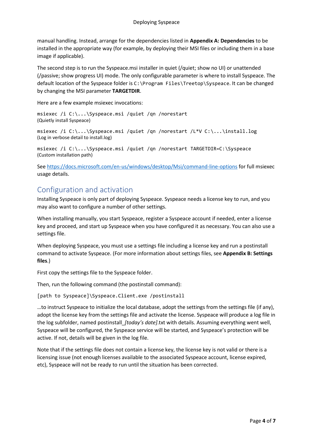manual handling. Instead, arrange for the dependencies listed in **Appendix A: Dependencies** to be installed in the appropriate way (for example, by deploying their MSI files or including them in a base image if applicable).

The second step is to run the Syspeace.msi installer in quiet (/quiet; show no UI) or unattended (/passive; show progress UI) mode. The only configurable parameter is where to install Syspeace. The default location of the Syspeace folder is C:\Program Files\Treetop\Syspeace. It can be changed by changing the MSI parameter **TARGETDIR**.

Here are a few example msiexec invocations:

msiexec /i C:\...\Syspeace.msi /quiet /qn /norestart (Quietly install Syspeace)

msiexec /i C:\...\Syspeace.msi /quiet /qn /norestart /L\*V C:\...\install.log (Log in verbose detail to install.log)

msiexec /i C:\...\Syspeace.msi /quiet /qn /norestart TARGETDIR=C:\Syspeace (Custom installation path)

See https://docs.microsoft.com/en-us/windows/desktop/Msi/command-line-options for full msiexec usage details.

## <span id="page-3-0"></span>Configuration and activation

Installing Syspeace is only part of deploying Syspeace. Syspeace needs a license key to run, and you may also want to configure a number of other settings.

When installing manually, you start Syspeace, register a Syspeace account if needed, enter a license key and proceed, and start up Syspeace when you have configured it as necessary. You can also use a settings file.

When deploying Syspeace, you must use a settings file including a license key and run a postinstall command to activate Syspeace. (For more information about settings files, see **Appendix B: Settings files**.)

First copy the settings file to the Syspeace folder.

Then, run the following command (the postinstall command):

[path to Syspeace]\Syspeace.Client.exe /postinstall

…to instruct Syspeace to initialize the local database, adopt the settings from the settings file (if any), adopt the license key from the settings file and activate the license. Syspeace will produce a log file in the log subfolder, named postinstall\_*[today's date]*.txt with details. Assuming everything went well, Syspeace will be configured, the Syspeace service will be started, and Syspeace's protection will be active. If not, details will be given in the log file.

Note that if the settings file does not contain a license key, the license key is not valid or there is a licensing issue (not enough licenses available to the associated Syspeace account, license expired, etc), Syspeace will not be ready to run until the situation has been corrected.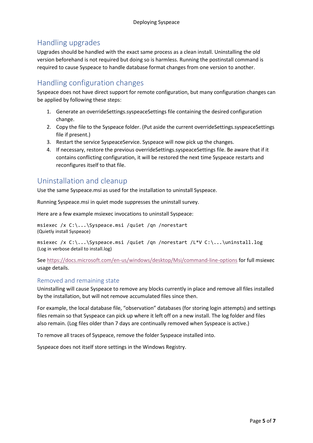## <span id="page-4-0"></span>Handling upgrades

Upgrades should be handled with the exact same process as a clean install. Uninstalling the old version beforehand is not required but doing so is harmless. Running the postinstall command is required to cause Syspeace to handle database format changes from one version to another.

## <span id="page-4-1"></span>Handling configuration changes

Syspeace does not have direct support for remote configuration, but many configuration changes can be applied by following these steps:

- 1. Generate an overrideSettings.syspeaceSettings file containing the desired configuration change.
- 2. Copy the file to the Syspeace folder. (Put aside the current overrideSettings.syspeaceSettings file if present.)
- 3. Restart the service SyspeaceService. Syspeace will now pick up the changes.
- 4. If necessary, restore the previous overrideSettings.syspeaceSettings file. Be aware that if it contains conflicting configuration, it will be restored the next time Syspeace restarts and reconfigures itself to that file.

## <span id="page-4-2"></span>Uninstallation and cleanup

Use the same Syspeace.msi as used for the installation to uninstall Syspeace.

Running Syspeace.msi in quiet mode suppresses the uninstall survey.

Here are a few example msiexec invocations to uninstall Syspeace:

msiexec /x C:\...\Syspeace.msi /quiet /qn /norestart (Quietly install Syspeace)

msiexec /x C:\...\Syspeace.msi /quiet /qn /norestart /L\*V C:\...\uninstall.log (Log in verbose detail to install.log)

See<https://docs.microsoft.com/en-us/windows/desktop/Msi/command-line-options> for full msiexec usage details.

#### <span id="page-4-3"></span>Removed and remaining state

Uninstalling will cause Syspeace to remove any blocks currently in place and remove all files installed by the installation, but will not remove accumulated files since then.

For example, the local database file, "observation" databases (for storing login attempts) and settings files remain so that Syspeace can pick up where it left off on a new install. The log folder and files also remain. (Log files older than 7 days are continually removed when Syspeace is active.)

To remove all traces of Syspeace, remove the folder Syspeace installed into.

Syspeace does not itself store settings in the Windows Registry.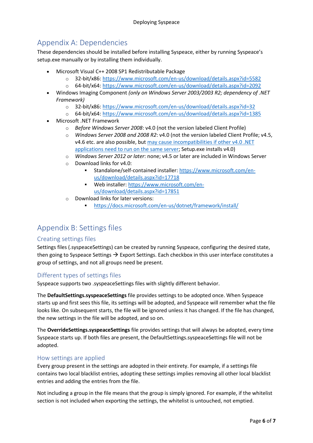# <span id="page-5-0"></span>Appendix A: Dependencies

These dependencies should be installed before installing Syspeace, either by running Syspeace's setup.exe manually or by installing them individually.

- Microsoft Visual C++ 2008 SP1 Redistributable Package
	- o 32-bit/x86:<https://www.microsoft.com/en-us/download/details.aspx?id=5582>
	- o 64-bit/x64:<https://www.microsoft.com/en-us/download/details.aspx?id=2092>
- Windows Imaging Component *(only on Windows Server 2003/2003 R2; dependency of .NET Framework)*
	- o 32-bit/x86:<https://www.microsoft.com/en-us/download/details.aspx?id=32>
	- o 64-bit/x64:<https://www.microsoft.com/en-us/download/details.aspx?id=1385>
- Microsoft .NET Framework
	- o *Before Windows Server 2008*: v4.0 (not the version labeled Client Profile)
	- o *Windows Server 2008 and 2008 R2*: v4.0 (not the version labeled Client Profile; v4.5, v4.6 etc. are also possible, but may cause incompatibilities if other v4.0 .NET [applications need to run on the same server;](http://msdn.microsoft.com/en-us/library/dn458358(v=vs.110).aspx) Setup.exe installs v4.0)
	- o *Windows Server 2012 or later*: none; v4.5 or later are included in Windows Server
	- o Download links for v4.0:
		- Standalone/self-contained installer: [https://www.microsoft.com/en](https://www.microsoft.com/en-us/download/details.aspx?id=17718)[us/download/details.aspx?id=17718](https://www.microsoft.com/en-us/download/details.aspx?id=17718)
		- Web installer[: https://www.microsoft.com/en](https://www.microsoft.com/en-us/download/details.aspx?id=17851)[us/download/details.aspx?id=17851](https://www.microsoft.com/en-us/download/details.aspx?id=17851)
	- o Download links for later versions:
		- <https://docs.microsoft.com/en-us/dotnet/framework/install/>

## <span id="page-5-1"></span>Appendix B: Settings files

#### <span id="page-5-2"></span>Creating settings files

Settings files (.syspeaceSettings) can be created by running Syspeace, configuring the desired state, then going to Syspeace Settings  $\rightarrow$  Export Settings. Each checkbox in this user interface constitutes a group of settings, and not all groups need be present.

### <span id="page-5-3"></span>Different types of settings files

Syspeace supports two .syspeaceSettings files with slightly different behavior.

The **DefaultSettings.syspeaceSettings** file provides settings to be adopted once. When Syspeace starts up and first sees this file, its settings will be adopted, and Syspeace will remember what the file looks like. On subsequent starts, the file will be ignored unless it has changed. If the file has changed, the new settings in the file will be adopted, and so on.

The **OverrideSettings.syspeaceSettings** file provides settings that will always be adopted, every time Syspeace starts up. If both files are present, the DefaultSettings.syspeaceSettings file will not be adopted.

#### <span id="page-5-4"></span>How settings are applied

Every group present in the settings are adopted in their entirety. For example, if a settings file contains two local blacklist entries, adopting these settings implies removing all other local blacklist entries and adding the entries from the file.

Not including a group in the file means that the group is simply ignored. For example, if the whitelist section is not included when exporting the settings, the whitelist is untouched, not emptied.